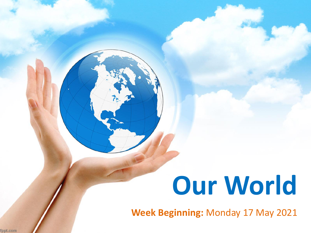# **Our World**

**Week Beginning:** Monday 17 May 2021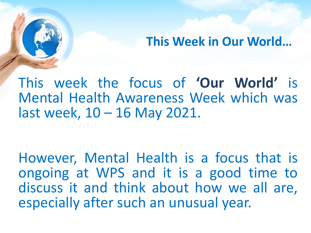**This Week in Our World…**

This week the focus of **'Our World'** is Mental Health Awareness Week which was last week, 10 – 16 May 2021.

However, Mental Health is a focus that is ongoing at WPS and it is a good time to discuss it and think about how we all are, especially after such an unusual year.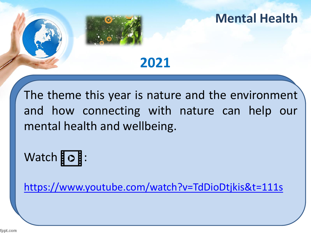

The theme this year is nature and the environment and how connecting with nature can help our mental health and wellbeing.

## Watch  $\overline{\circ}$  :

<https://www.youtube.com/watch?v=TdDioDtjkis&t=111s>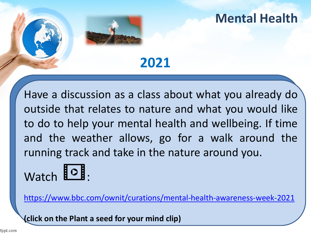#### **Mental Health**

#### **2021**

Have a discussion as a class about what you already do outside that relates to nature and what you would like to do to help your mental health and wellbeing. If time and the weather allows, go for a walk around the running track and take in the nature around you.

# Watch  $\overline{\text{O}}$ .

<https://www.bbc.com/ownit/curations/mental-health-awareness-week-2021>

**(click on the Plant a seed for your mind clip)**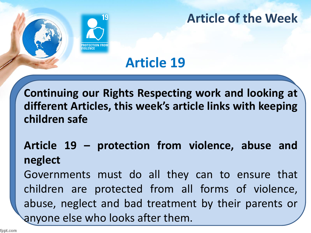

#### **Article of the Week**

### **Article 19**

**Continuing our Rights Respecting work and looking at different Articles, this week's article links with keeping children safe**

#### **Article 19 – protection from violence, abuse and neglect**

Governments must do all they can to ensure that children are protected from all forms of violence, abuse, neglect and bad treatment by their parents or anyone else who looks after them.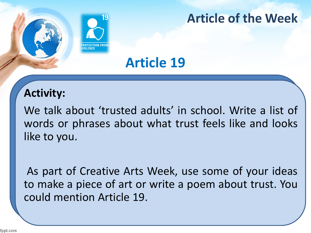

#### **Article of the Week**

### **Article 19**

#### **Activity:**

We talk about 'trusted adults' in school. Write a list of words or phrases about what trust feels like and looks like to you.

As part of Creative Arts Week, use some of your ideas to make a piece of art or write a poem about trust. You could mention Article 19.